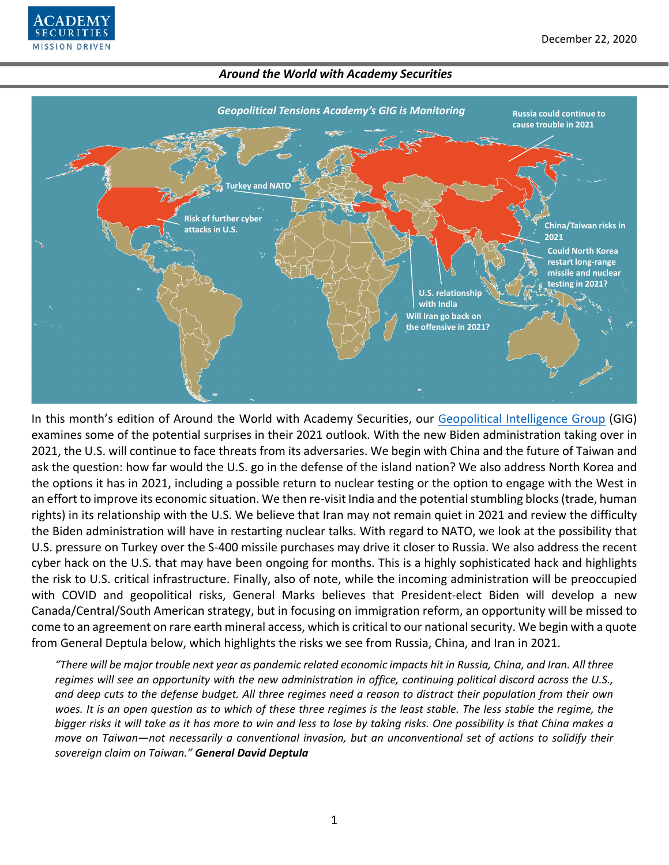



In this month's edition of Around the World with Academy Securities, our [Geopolitical Intelligence Group](https://www.academysecurities.com/geopolitical/geopolitical-intelligence-group/) (GIG) examines some of the potential surprises in their 2021 outlook. With the new Biden administration taking over in 2021, the U.S. will continue to face threats from its adversaries. We begin with China and the future of Taiwan and ask the question: how far would the U.S. go in the defense of the island nation? We also address North Korea and the options it has in 2021, including a possible return to nuclear testing or the option to engage with the West in an effort to improve its economic situation. We then re-visit India and the potential stumbling blocks (trade, human rights) in its relationship with the U.S. We believe that Iran may not remain quiet in 2021 and review the difficulty the Biden administration will have in restarting nuclear talks. With regard to NATO, we look at the possibility that U.S. pressure on Turkey over the S-400 missile purchases may drive it closer to Russia. We also address the recent cyber hack on the U.S. that may have been ongoing for months. This is a highly sophisticated hack and highlights the risk to U.S. critical infrastructure. Finally, also of note, while the incoming administration will be preoccupied with COVID and geopolitical risks, General Marks believes that President-elect Biden will develop a new Canada/Central/South American strategy, but in focusing on immigration reform, an opportunity will be missed to come to an agreement on rare earth mineral access, which is critical to our national security. We begin with a quote from General Deptula below, which highlights the risks we see from Russia, China, and Iran in 2021.

*"There will be major trouble next year as pandemic related economic impacts hit in Russia, China, and Iran. All three regimes will see an opportunity with the new administration in office, continuing political discord across the U.S., and deep cuts to the defense budget. All three regimes need a reason to distract their population from their own*  woes. It is an open question as to which of these three regimes is the least stable. The less stable the regime, the *bigger risks it will take as it has more to win and less to lose by taking risks. One possibility is that China makes a move on Taiwan—not necessarily a conventional invasion, but an unconventional set of actions to solidify their sovereign claim on Taiwan." General David Deptula*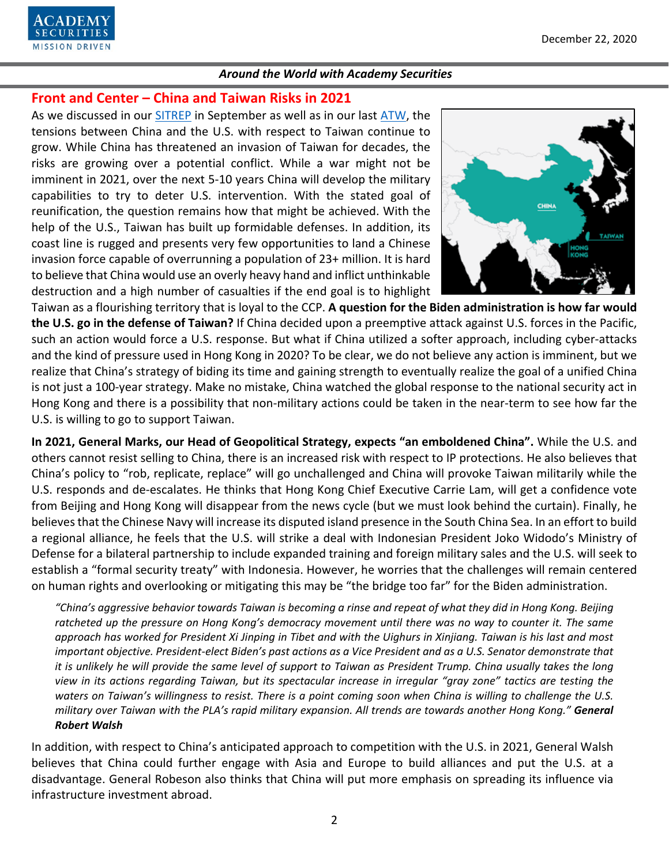

# **Front and Center – China and Taiwan Risks in 2021**

As we discussed in our [SITREP](https://www.academysecurities.com/is-taiwan-at-risk/) in September as well as in our last [ATW,](https://www.academysecurities.com/wordpress/wp-content/uploads/2020/11/Around-the-World-with-Academy-Securities_12-1-20.pdf) the tensions between China and the U.S. with respect to Taiwan continue to grow. While China has threatened an invasion of Taiwan for decades, the risks are growing over a potential conflict. While a war might not be imminent in 2021, over the next 5-10 years China will develop the military capabilities to try to deter U.S. intervention. With the stated goal of reunification, the question remains how that might be achieved. With the help of the U.S., Taiwan has built up formidable defenses. In addition, its coast line is rugged and presents very few opportunities to land a Chinese invasion force capable of overrunning a population of 23+ million. It is hard to believe that China would use an overly heavy hand and inflict unthinkable destruction and a high number of casualties if the end goal is to highlight



Taiwan as a flourishing territory that is loyal to the CCP. **A question for the Biden administration is how far would the U.S. go in the defense of Taiwan?** If China decided upon a preemptive attack against U.S. forces in the Pacific, such an action would force a U.S. response. But what if China utilized a softer approach, including cyber-attacks and the kind of pressure used in Hong Kong in 2020? To be clear, we do not believe any action is imminent, but we realize that China's strategy of biding its time and gaining strength to eventually realize the goal of a unified China is not just a 100-year strategy. Make no mistake, China watched the global response to the national security act in Hong Kong and there is a possibility that non-military actions could be taken in the near-term to see how far the U.S. is willing to go to support Taiwan.

**In 2021, General Marks, our Head of Geopolitical Strategy, expects "an emboldened China".** While the U.S. and others cannot resist selling to China, there is an increased risk with respect to IP protections. He also believes that China's policy to "rob, replicate, replace" will go unchallenged and China will provoke Taiwan militarily while the U.S. responds and de-escalates. He thinks that Hong Kong Chief Executive Carrie Lam, will get a confidence vote from Beijing and Hong Kong will disappear from the news cycle (but we must look behind the curtain). Finally, he believes that the Chinese Navy will increase its disputed island presence in the South China Sea. In an effort to build a regional alliance, he feels that the U.S. will strike a deal with Indonesian President Joko Widodo's Ministry of Defense for a bilateral partnership to include expanded training and foreign military sales and the U.S. will seek to establish a "formal security treaty" with Indonesia. However, he worries that the challenges will remain centered on human rights and overlooking or mitigating this may be "the bridge too far" for the Biden administration.

*"China's aggressive behavior towards Taiwan is becoming a rinse and repeat of what they did in Hong Kong. Beijing ratcheted up the pressure on Hong Kong's democracy movement until there was no way to counter it. The same approach has worked for President Xi Jinping in Tibet and with the Uighurs in Xinjiang. Taiwan is his last and most important objective. President-elect Biden's past actions as a Vice President and as a U.S. Senator demonstrate that it is unlikely he will provide the same level of support to Taiwan as President Trump. China usually takes the long view in its actions regarding Taiwan, but its spectacular increase in irregular "gray zone" tactics are testing the*  waters on Taiwan's willingness to resist. There is a point coming soon when China is willing to challenge the U.S. *military over Taiwan with the PLA's rapid military expansion. All trends are towards another Hong Kong." General Robert Walsh*

In addition, with respect to China's anticipated approach to competition with the U.S. in 2021, General Walsh believes that China could further engage with Asia and Europe to build alliances and put the U.S. at a disadvantage. General Robeson also thinks that China will put more emphasis on spreading its influence via infrastructure investment abroad.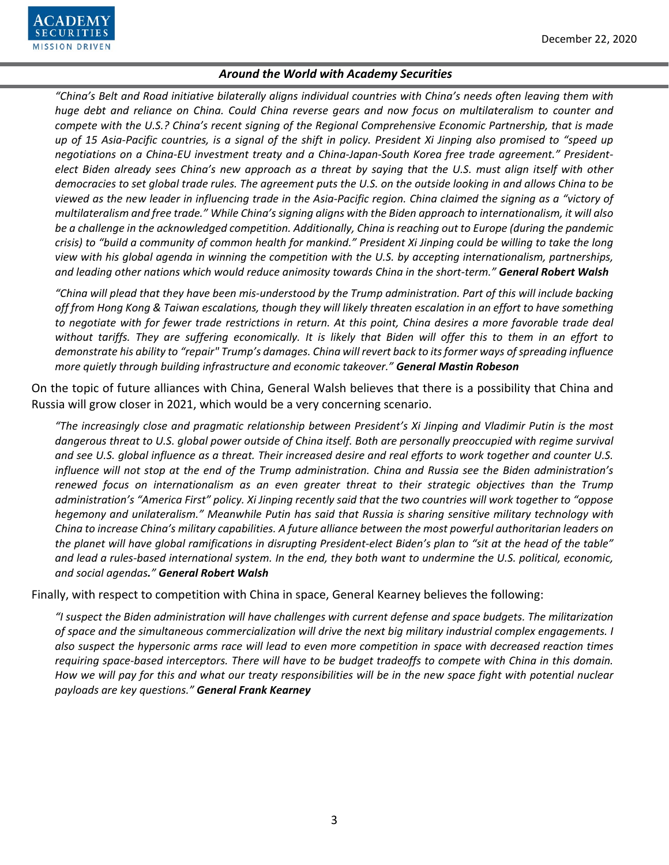

*"China's Belt and Road initiative bilaterally aligns individual countries with China's needs often leaving them with huge debt and reliance on China. Could China reverse gears and now focus on multilateralism to counter and compete with the U.S.? China's recent signing of the Regional Comprehensive Economic Partnership, that is made up of 15 Asia-Pacific countries, is a signal of the shift in policy. President Xi Jinping also promised to "speed up negotiations on a China-EU investment treaty and a China-Japan-South Korea free trade agreement." Presidentelect Biden already sees China's new approach as a threat by saying that the U.S. must align itself with other democracies to set global trade rules. The agreement puts the U.S. on the outside looking in and allows China to be viewed as the new leader in influencing trade in the Asia-Pacific region. China claimed the signing as a "victory of multilateralism and free trade." While China's signing aligns with the Biden approach to internationalism, it will also be a challenge in the acknowledged competition. Additionally, China is reaching out to Europe (during the pandemic crisis) to "build a community of common health for mankind." President Xi Jinping could be willing to take the long view with his global agenda in winning the competition with the U.S. by accepting internationalism, partnerships, and leading other nations which would reduce animosity towards China in the short-term." General Robert Walsh*

*"China will plead that they have been mis-understood by the Trump administration. Part of this will include backing off from Hong Kong & Taiwan escalations, though they will likely threaten escalation in an effort to have something to negotiate with for fewer trade restrictions in return. At this point, China desires a more favorable trade deal without tariffs. They are suffering economically. It is likely that Biden will offer this to them in an effort to demonstrate his ability to "repair" Trump's damages. China will revert back to its former ways ofspreading influence more quietly through building infrastructure and economic takeover." General Mastin Robeson*

On the topic of future alliances with China, General Walsh believes that there is a possibility that China and Russia will grow closer in 2021, which would be a very concerning scenario.

*"The increasingly close and pragmatic relationship between President's Xi Jinping and Vladimir Putin is the most*  dangerous threat to U.S. global power outside of China itself. Both are personally preoccupied with regime survival *and see U.S. global influence as a threat. Their increased desire and real efforts to work together and counter U.S. influence will not stop at the end of the Trump administration. China and Russia see the Biden administration's renewed focus on internationalism as an even greater threat to their strategic objectives than the Trump administration's "America First" policy. Xi Jinping recently said that the two countries will work together to "oppose hegemony and unilateralism." Meanwhile Putin has said that Russia is sharing sensitive military technology with China to increase China's military capabilities. A future alliance between the most powerful authoritarian leaders on the planet will have global ramifications in disrupting President-elect Biden's plan to "sit at the head of the table" and lead a rules-based international system. In the end, they both want to undermine the U.S. political, economic, and social agendas." General Robert Walsh*

Finally, with respect to competition with China in space, General Kearney believes the following:

*"I suspect the Biden administration will have challenges with current defense and space budgets. The militarization of space and the simultaneous commercialization will drive the next big military industrial complex engagements. I also suspect the hypersonic arms race will lead to even more competition in space with decreased reaction times requiring space-based interceptors. There will have to be budget tradeoffs to compete with China in this domain. How we will pay for this and what our treaty responsibilities will be in the new space fight with potential nuclear payloads are key questions." General Frank Kearney*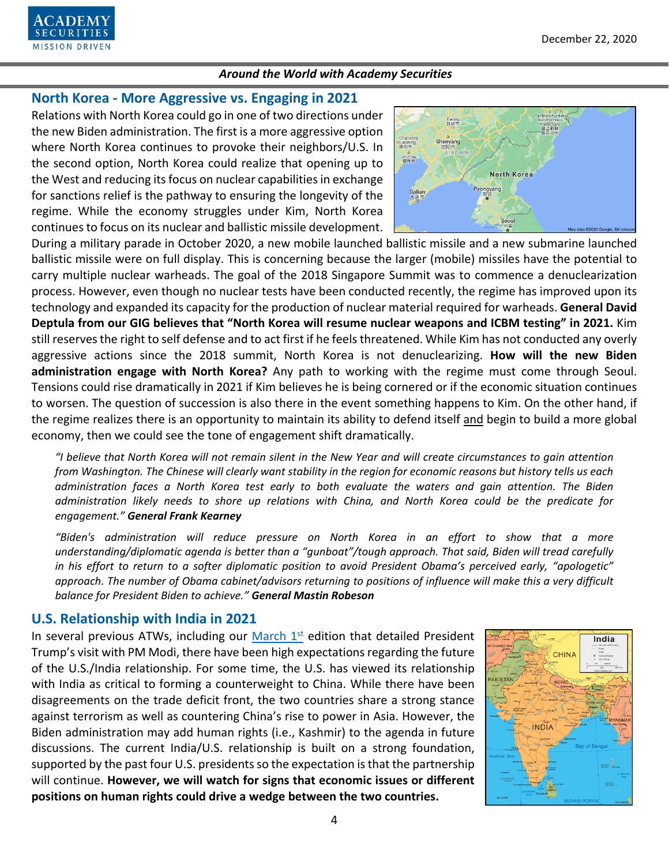

# **North Korea - More Aggressive vs. Engaging in 2021**

Relations with North Korea could go in one of two directions under the new Biden administration. The first is a more aggressive option where North Korea continues to provoke their neighbors/U.S. In the second option, North Korea could realize that opening up to the West and reducing its focus on nuclear capabilities in exchange for sanctions relief is the pathway to ensuring the longevity of the regime. While the economy struggles under Kim, North Korea continues to focus on its nuclear and ballistic missile development.



During a military parade in October 2020, a new mobile launched ballistic missile and a new submarine launched ballistic missile were on full display. This is concerning because the larger (mobile) missiles have the potential to carry multiple nuclear warheads. The goal of the 2018 Singapore Summit was to commence a denuclearization process. However, even though no nuclear tests have been conducted recently, the regime has improved upon its technology and expanded its capacity for the production of nuclear material required for warheads. **General David Deptula from our GIG believes that "North Korea will resume nuclear weapons and ICBM testing" in 2021.** Kim still reserves the right to self defense and to act first if he feels threatened. While Kim has not conducted any overly aggressive actions since the 2018 summit, North Korea is not denuclearizing. **How will the new Biden administration engage with North Korea?** Any path to working with the regime must come through Seoul. Tensions could rise dramatically in 2021 if Kim believes he is being cornered or if the economic situation continues to worsen. The question of succession is also there in the event something happens to Kim. On the other hand, if the regime realizes there is an opportunity to maintain its ability to defend itself and begin to build a more global economy, then we could see the tone of engagement shift dramatically.

*"I believe that North Korea will not remain silent in the New Year and will create circumstances to gain attention from Washington. The Chinese will clearly want stability in the region for economic reasons but history tells us each administration faces a North Korea test early to both evaluate the waters and gain attention. The Biden administration likely needs to shore up relations with China, and North Korea could be the predicate for engagement." General Frank Kearney*

*"Biden's administration will reduce pressure on North Korea in an effort to show that a more understanding/diplomatic agenda is better than a "gunboat"/tough approach. That said, Biden will tread carefully in his effort to return to a softer diplomatic position to avoid President Obama's perceived early, "apologetic" approach. The number of Obama cabinet/advisors returning to positions of influence will make this a very difficult balance for President Biden to achieve." General Mastin Robeson*

# **U.S. Relationship with India in 2021**

In several previous ATWs, including our  $March 1<sup>st</sup>$  edition that detailed President Trump's visit with PM Modi, there have been high expectations regarding the future of the U.S./India relationship. For some time, the U.S. has viewed its relationship with India as critical to forming a counterweight to China. While there have been disagreements on the trade deficit front, the two countries share a strong stance against terrorism as well as countering China's rise to power in Asia. However, the Biden administration may add human rights (i.e., Kashmir) to the agenda in future discussions. The current India/U.S. relationship is built on a strong foundation, supported by the past four U.S. presidents so the expectation is that the partnership will continue. **However, we will watch for signs that economic issues or different positions on human rights could drive a wedge between the two countries.**

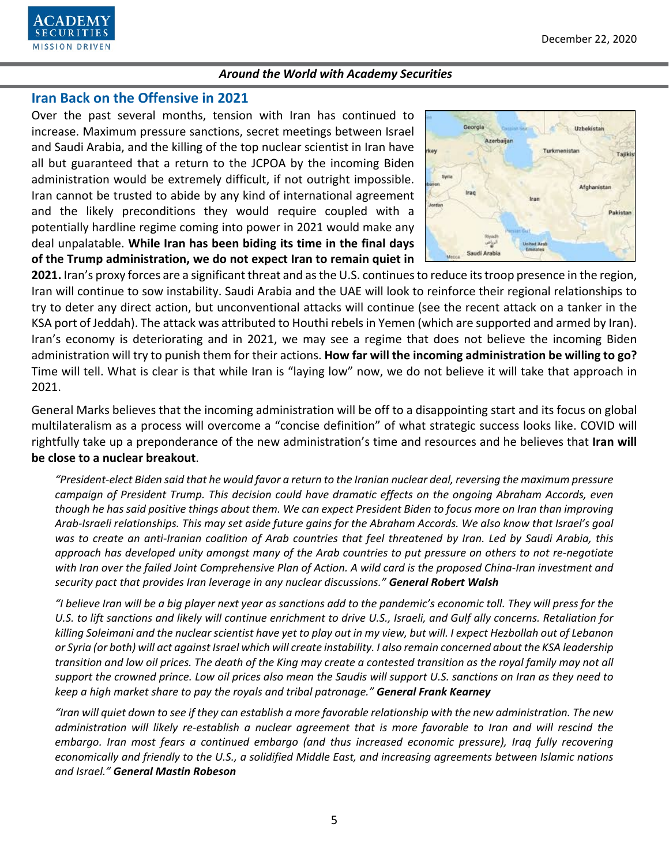

# **Iran Back on the Offensive in 2021**

Over the past several months, tension with Iran has continued to increase. Maximum pressure sanctions, secret meetings between Israel and Saudi Arabia, and the killing of the top nuclear scientist in Iran have all but guaranteed that a return to the JCPOA by the incoming Biden administration would be extremely difficult, if not outright impossible. Iran cannot be trusted to abide by any kind of international agreement and the likely preconditions they would require coupled with a potentially hardline regime coming into power in 2021 would make any deal unpalatable. **While Iran has been biding its time in the final days of the Trump administration, we do not expect Iran to remain quiet in** 



**2021.** Iran's proxy forces are a significant threat and as the U.S. continues to reduce its troop presence in the region, Iran will continue to sow instability. Saudi Arabia and the UAE will look to reinforce their regional relationships to try to deter any direct action, but unconventional attacks will continue (see the recent attack on a tanker in the KSA port of Jeddah). The attack was attributed to Houthi rebels in Yemen (which are supported and armed by Iran). Iran's economy is deteriorating and in 2021, we may see a regime that does not believe the incoming Biden administration will try to punish them for their actions. **How far will the incoming administration be willing to go?** Time will tell. What is clear is that while Iran is "laying low" now, we do not believe it will take that approach in 2021.

General Marks believes that the incoming administration will be off to a disappointing start and its focus on global multilateralism as a process will overcome a "concise definition" of what strategic success looks like. COVID will rightfully take up a preponderance of the new administration's time and resources and he believes that **Iran will be close to a nuclear breakout**.

*"President-elect Biden said that he would favor a return to the Iranian nuclear deal, reversing the maximum pressure campaign of President Trump. This decision could have dramatic effects on the ongoing Abraham Accords, even though he has said positive things about them. We can expect President Biden to focus more on Iran than improving Arab-Israeli relationships. This may set aside future gains for the Abraham Accords. We also know that Israel's goal*  was to create an anti-Iranian coalition of Arab countries that feel threatened by Iran. Led by Saudi Arabia, this *approach has developed unity amongst many of the Arab countries to put pressure on others to not re-negotiate with Iran over the failed Joint Comprehensive Plan of Action. A wild card is the proposed China-Iran investment and security pact that provides Iran leverage in any nuclear discussions." General Robert Walsh*

*"I believe Iran will be a big player next year as sanctions add to the pandemic's economic toll. They will press for the U.S. to lift sanctions and likely will continue enrichment to drive U.S., Israeli, and Gulf ally concerns. Retaliation for killing Soleimani and the nuclear scientist have yet to play out in my view, but will. I expect Hezbollah out of Lebanon or Syria (or both) will act against Israel which will create instability. I also remain concerned about the KSA leadership transition and low oil prices. The death of the King may create a contested transition as the royal family may not all support the crowned prince. Low oil prices also mean the Saudis will support U.S. sanctions on Iran as they need to keep a high market share to pay the royals and tribal patronage." General Frank Kearney*

*"Iran will quiet down to see if they can establish a more favorable relationship with the new administration. The new administration will likely re-establish a nuclear agreement that is more favorable to Iran and will rescind the embargo. Iran most fears a continued embargo (and thus increased economic pressure), Iraq fully recovering economically and friendly to the U.S., a solidified Middle East, and increasing agreements between Islamic nations and Israel." General Mastin Robeson*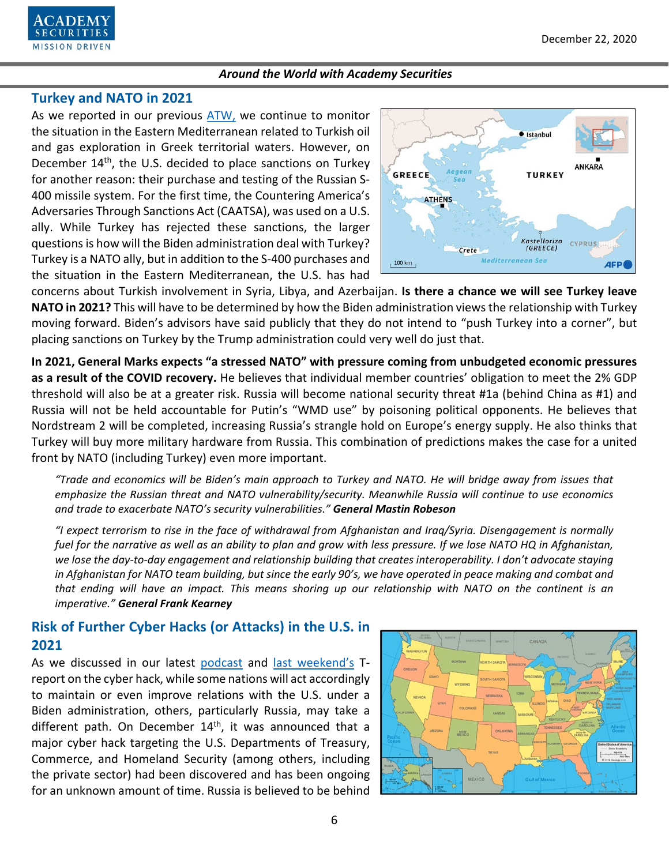

# **Turkey and NATO in 2021**

As we reported in our previous [ATW,](https://www.academysecurities.com/wordpress/wp-content/uploads/2020/11/Around-the-World-with-Academy-Securities_12-1-20.pdf) we continue to monitor the situation in the Eastern Mediterranean related to Turkish oil and gas exploration in Greek territorial waters. However, on December 14<sup>th</sup>, the U.S. decided to place sanctions on Turkey for another reason: their purchase and testing of the Russian S-400 missile system. For the first time, the Countering America's Adversaries Through Sanctions Act (CAATSA), was used on a U.S. ally. While Turkey has rejected these sanctions, the larger questions is how will the Biden administration deal with Turkey? Turkey is a NATO ally, but in addition to the S-400 purchases and the situation in the Eastern Mediterranean, the U.S. has had



concerns about Turkish involvement in Syria, Libya, and Azerbaijan. **Is there a chance we will see Turkey leave NATO in 2021?** This will have to be determined by how the Biden administration views the relationship with Turkey moving forward. Biden's advisors have said publicly that they do not intend to "push Turkey into a corner", but placing sanctions on Turkey by the Trump administration could very well do just that.

**In 2021, General Marks expects "a stressed NATO" with pressure coming from unbudgeted economic pressures as a result of the COVID recovery.** He believes that individual member countries' obligation to meet the 2% GDP threshold will also be at a greater risk. Russia will become national security threat #1a (behind China as #1) and Russia will not be held accountable for Putin's "WMD use" by poisoning political opponents. He believes that Nordstream 2 will be completed, increasing Russia's strangle hold on Europe's energy supply. He also thinks that Turkey will buy more military hardware from Russia. This combination of predictions makes the case for a united front by NATO (including Turkey) even more important.

*"Trade and economics will be Biden's main approach to Turkey and NATO. He will bridge away from issues that emphasize the Russian threat and NATO vulnerability/security. Meanwhile Russia will continue to use economics and trade to exacerbate NATO's security vulnerabilities." General Mastin Robeson*

*"I expect terrorism to rise in the face of withdrawal from Afghanistan and Iraq/Syria. Disengagement is normally fuel for the narrative as well as an ability to plan and grow with less pressure. If we lose NATO HQ in Afghanistan,*  we lose the day-to-day engagement and relationship building that creates interoperability. I don't advocate staying *in Afghanistan for NATO team building, but since the early 90's, we have operated in peace making and combat and that ending will have an impact. This means shoring up our relationship with NATO on the continent is an imperative." General Frank Kearney*

# **Risk of Further Cyber Hacks (or Attacks) in the U.S. in 2021**

As we discussed in our latest [podcast](https://www.academysecurities.com/geopolitical/geopolitical-podcasts/) and [last weekend's](https://www.academysecurities.com/wordpress/wp-content/uploads/2020/12/Cyber-Be-Concerned-If-Not-Afraid.pdf) Treport on the cyber hack, while some nations will act accordingly to maintain or even improve relations with the U.S. under a Biden administration, others, particularly Russia, may take a different path. On December  $14<sup>th</sup>$ , it was announced that a major cyber hack targeting the U.S. Departments of Treasury, Commerce, and Homeland Security (among others, including the private sector) had been discovered and has been ongoing for an unknown amount of time. Russia is believed to be behind